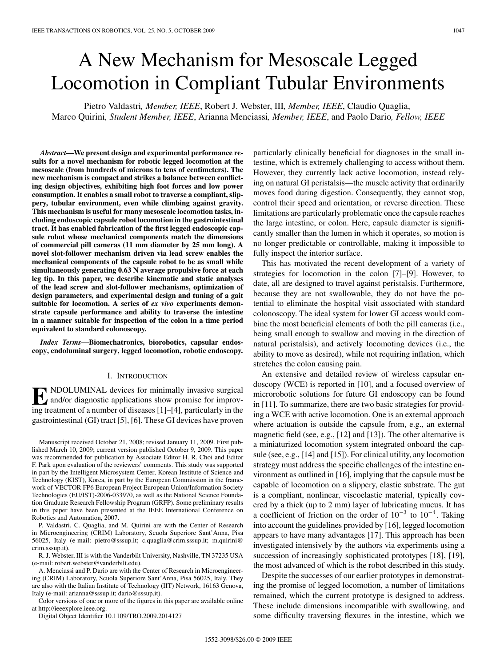# A New Mechanism for Mesoscale Legged Locomotion in Compliant Tubular Environments

Pietro Valdastri*, Member, IEEE*, Robert J. Webster, III*, Member, IEEE*, Claudio Quaglia, Marco Quirini*, Student Member, IEEE*, Arianna Menciassi*, Member, IEEE*, and Paolo Dario*, Fellow, IEEE*

*Abstract***—We present design and experimental performance results for a novel mechanism for robotic legged locomotion at the mesoscale (from hundreds of microns to tens of centimeters). The new mechanism is compact and strikes a balance between conflicting design objectives, exhibiting high foot forces and low power consumption. It enables a small robot to traverse a compliant, slippery, tubular environment, even while climbing against gravity. This mechanism is useful for many mesoscale locomotion tasks, including endoscopic capsule robot locomotion in the gastrointestinal tract. It has enabled fabrication of the first legged endoscopic capsule robot whose mechanical components match the dimensions of commercial pill cameras (11 mm diameter by 25 mm long). A novel slot-follower mechanism driven via lead screw enables the mechanical components of the capsule robot to be as small while simultaneously generating 0.63 N average propulsive force at each leg tip. In this paper, we describe kinematic and static analyses of the lead screw and slot-follower mechanisms, optimization of design parameters, and experimental design and tuning of a gait suitable for locomotion. A series of** *ex vivo* **experiments demonstrate capsule performance and ability to traverse the intestine in a manner suitable for inspection of the colon in a time period equivalent to standard colonoscopy.**

*Index Terms***—Biomechatronics, biorobotics, capsular endoscopy, endoluminal surgery, legged locomotion, robotic endoscopy.**

# I. INTRODUCTION

**E** NDOLUMINAL devices for minimally invasive surgical<br>and/or diagnostic applications show promise for improv-<br>ing treatment of a number of diagnose [1], [4], perticularly in the ing treatment of a number of diseases [1]–[4], particularly in the gastrointestinal (GI) tract [5], [6]. These GI devices have proven

Manuscript received October 21, 2008; revised January 11, 2009. First published March 10, 2009; current version published October 9, 2009. This paper was recommended for publication by Associate Editor H. R. Choi and Editor F. Park upon evaluation of the reviewers' comments. This study was supported in part by the Intelligent Microsystem Center, Korean Institute of Science and Technology (KIST), Korea, in part by the European Commission in the framework of VECTOR FP6 European Project European Union/Information Society Technologies (EU/IST)-2006-033970, as well as the National Science Foundation Graduate Research Fellowship Program (GRFP). Some preliminary results in this paper have been presented at the IEEE International Conference on Robotics and Automation, 2007.

P. Valdastri, C. Quaglia, and M. Quirini are with the Center of Research in Microengineering (CRIM) Laboratory, Scuola Superiore Sant'Anna, Pisa 56025, Italy (e-mail: pietro@sssup.it; c.quaglia@crim.sssup.it; m.quirini@ crim.sssup.it).

R. J. Webster, III is with the Vanderbilt University, Nashville, TN 37235 USA (e-mail: robert.webster@vanderbilt.edu).

A. Menciassi and P. Dario are with the Center of Research in Microengineering (CRIM) Laboratory, Scuola Superiore Sant'Anna, Pisa 56025, Italy. They are also with the Italian Institute of Technology (IIT) Network, 16163 Genova, Italy (e-mail: arianna@sssup.it; dario@sssup.it).

Color versions of one or more of the figures in this paper are available online at http://ieeexplore.ieee.org.

Digital Object Identifier 10.1109/TRO.2009.2014127

particularly clinically beneficial for diagnoses in the small intestine, which is extremely challenging to access without them. However, they currently lack active locomotion, instead relying on natural GI peristalsis—the muscle activity that ordinarily moves food during digestion. Consequently, they cannot stop, control their speed and orientation, or reverse direction. These limitations are particularly problematic once the capsule reaches the large intestine, or colon. Here, capsule diameter is significantly smaller than the lumen in which it operates, so motion is no longer predictable or controllable, making it impossible to fully inspect the interior surface.

This has motivated the recent development of a variety of strategies for locomotion in the colon [7]–[9]. However, to date, all are designed to travel against peristalsis. Furthermore, because they are not swallowable, they do not have the potential to eliminate the hospital visit associated with standard colonoscopy. The ideal system for lower GI access would combine the most beneficial elements of both the pill cameras (i.e., being small enough to swallow and moving in the direction of natural peristalsis), and actively locomoting devices (i.e., the ability to move as desired), while not requiring inflation, which stretches the colon causing pain.

An extensive and detailed review of wireless capsular endoscopy (WCE) is reported in [10], and a focused overview of microrobotic solutions for future GI endoscopy can be found in [11]. To summarize, there are two basic strategies for providing a WCE with active locomotion. One is an external approach where actuation is outside the capsule from, e.g., an external magnetic field (see, e.g., [12] and [13]). The other alternative is a miniaturized locomotion system integrated onboard the capsule (see, e.g., [14] and [15]). For clinical utility, any locomotion strategy must address the specific challenges of the intestine environment as outlined in [16], implying that the capsule must be capable of locomotion on a slippery, elastic substrate. The gut is a compliant, nonlinear, viscoelastic material, typically covered by a thick (up to 2 mm) layer of lubricating mucus. It has a coefficient of friction on the order of  $10^{-3}$  to  $10^{-4}$ . Taking into account the guidelines provided by [16], legged locomotion appears to have many advantages [17]. This approach has been investigated intensively by the authors via experiments using a succession of increasingly sophisticated prototypes [18], [19], the most advanced of which is the robot described in this study.

Despite the successes of our earlier prototypes in demonstrating the promise of legged locomotion, a number of limitations remained, which the current prototype is designed to address. These include dimensions incompatible with swallowing, and some difficulty traversing flexures in the intestine, which we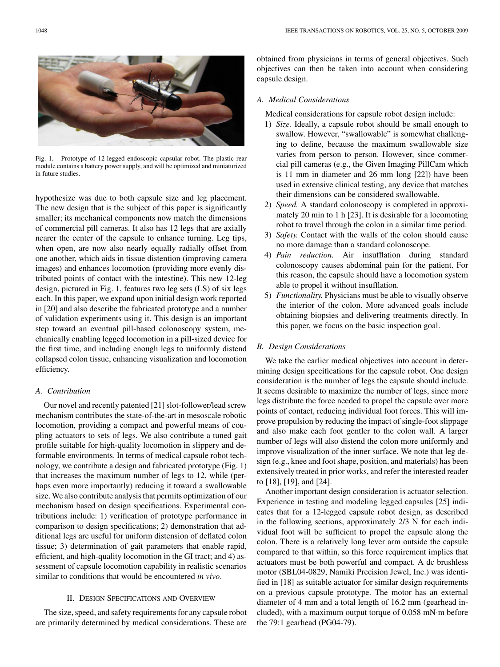

Fig. 1. Prototype of 12-legged endoscopic capsular robot. The plastic rear module contains a battery power supply, and will be optimized and miniaturized in future studies.

hypothesize was due to both capsule size and leg placement. The new design that is the subject of this paper is significantly smaller; its mechanical components now match the dimensions of commercial pill cameras. It also has 12 legs that are axially nearer the center of the capsule to enhance turning. Leg tips, when open, are now also nearly equally radially offset from one another, which aids in tissue distention (improving camera images) and enhances locomotion (providing more evenly distributed points of contact with the intestine). This new 12-leg design, pictured in Fig. 1, features two leg sets (LS) of six legs each. In this paper, we expand upon initial design work reported in [20] and also describe the fabricated prototype and a number of validation experiments using it. This design is an important step toward an eventual pill-based colonoscopy system, mechanically enabling legged locomotion in a pill-sized device for the first time, and including enough legs to uniformly distend collapsed colon tissue, enhancing visualization and locomotion efficiency.

## *A. Contribution*

Our novel and recently patented [21] slot-follower/lead screw mechanism contributes the state-of-the-art in mesoscale robotic locomotion, providing a compact and powerful means of coupling actuators to sets of legs. We also contribute a tuned gait profile suitable for high-quality locomotion in slippery and deformable environments. In terms of medical capsule robot technology, we contribute a design and fabricated prototype (Fig. 1) that increases the maximum number of legs to 12, while (perhaps even more importantly) reducing it toward a swallowable size. We also contribute analysis that permits optimization of our mechanism based on design specifications. Experimental contributions include: 1) verification of prototype performance in comparison to design specifications; 2) demonstration that additional legs are useful for uniform distension of deflated colon tissue; 3) determination of gait parameters that enable rapid, efficient, and high-quality locomotion in the GI tract; and 4) assessment of capsule locomotion capability in realistic scenarios similar to conditions that would be encountered *in vivo*.

# II. DESIGN SPECIFICATIONS AND OVERVIEW

The size, speed, and safety requirements for any capsule robot are primarily determined by medical considerations. These are obtained from physicians in terms of general objectives. Such objectives can then be taken into account when considering capsule design.

## *A. Medical Considerations*

Medical considerations for capsule robot design include:

- 1) *Size.* Ideally, a capsule robot should be small enough to swallow. However, "swallowable" is somewhat challenging to define, because the maximum swallowable size varies from person to person. However, since commercial pill cameras (e.g., the Given Imaging PillCam which is 11 mm in diameter and 26 mm long [22]) have been used in extensive clinical testing, any device that matches their dimensions can be considered swallowable.
- 2) *Speed.* A standard colonoscopy is completed in approximately 20 min to 1 h [23]. It is desirable for a locomoting robot to travel through the colon in a similar time period.
- 3) *Safety.* Contact with the walls of the colon should cause no more damage than a standard colonoscope.
- 4) *Pain reduction.* Air insufflation during standard colonoscopy causes abdominal pain for the patient. For this reason, the capsule should have a locomotion system able to propel it without insufflation.
- 5) *Functionality.* Physicians must be able to visually observe the interior of the colon. More advanced goals include obtaining biopsies and delivering treatments directly. In this paper, we focus on the basic inspection goal.

# *B. Design Considerations*

We take the earlier medical objectives into account in determining design specifications for the capsule robot. One design consideration is the number of legs the capsule should include. It seems desirable to maximize the number of legs, since more legs distribute the force needed to propel the capsule over more points of contact, reducing individual foot forces. This will improve propulsion by reducing the impact of single-foot slippage and also make each foot gentler to the colon wall. A larger number of legs will also distend the colon more uniformly and improve visualization of the inner surface. We note that leg design (e.g., knee and foot shape, position, and materials) has been extensively treated in prior works, and refer the interested reader to [18], [19], and [24].

Another important design consideration is actuator selection. Experience in testing and modeling legged capsules [25] indicates that for a 12-legged capsule robot design, as described in the following sections, approximately 2/3 N for each individual foot will be sufficient to propel the capsule along the colon. There is a relatively long lever arm outside the capsule compared to that within, so this force requirement implies that actuators must be both powerful and compact. A dc brushless motor (SBL04-0829, Namiki Precision Jewel, Inc.) was identified in [18] as suitable actuator for similar design requirements on a previous capsule prototype. The motor has an external diameter of 4 mm and a total length of 16.2 mm (gearhead included), with a maximum output torque of 0.058 mN·m before the 79:1 gearhead (PG04-79).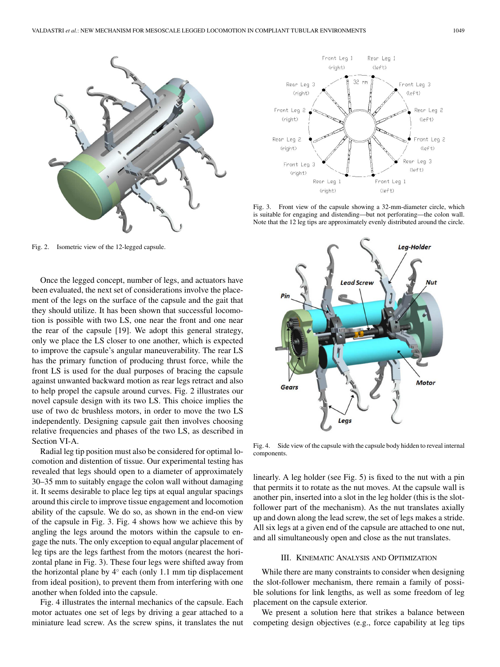

Fig. 2. Isometric view of the 12-legged capsule.

Once the legged concept, number of legs, and actuators have been evaluated, the next set of considerations involve the placement of the legs on the surface of the capsule and the gait that they should utilize. It has been shown that successful locomotion is possible with two LS, one near the front and one near the rear of the capsule [19]. We adopt this general strategy, only we place the LS closer to one another, which is expected to improve the capsule's angular maneuverability. The rear LS has the primary function of producing thrust force, while the front LS is used for the dual purposes of bracing the capsule against unwanted backward motion as rear legs retract and also to help propel the capsule around curves. Fig. 2 illustrates our novel capsule design with its two LS. This choice implies the use of two dc brushless motors, in order to move the two LS independently. Designing capsule gait then involves choosing relative frequencies and phases of the two LS, as described in Section VI-A.

Radial leg tip position must also be considered for optimal locomotion and distention of tissue. Our experimental testing has revealed that legs should open to a diameter of approximately 30–35 mm to suitably engage the colon wall without damaging it. It seems desirable to place leg tips at equal angular spacings around this circle to improve tissue engagement and locomotion ability of the capsule. We do so, as shown in the end-on view of the capsule in Fig. 3. Fig. 4 shows how we achieve this by angling the legs around the motors within the capsule to engage the nuts. The only exception to equal angular placement of leg tips are the legs farthest from the motors (nearest the horizontal plane in Fig. 3). These four legs were shifted away from the horizontal plane by  $4°$  each (only 1.1 mm tip displacement from ideal position), to prevent them from interfering with one another when folded into the capsule.

Fig. 4 illustrates the internal mechanics of the capsule. Each motor actuates one set of legs by driving a gear attached to a miniature lead screw. As the screw spins, it translates the nut



Fig. 3. Front view of the capsule showing a 32-mm-diameter circle, which is suitable for engaging and distending—but not perforating—the colon wall. Note that the 12 leg tips are approximately evenly distributed around the circle.



Fig. 4. Side view of the capsule with the capsule body hidden to reveal internal components.

linearly. A leg holder (see Fig. 5) is fixed to the nut with a pin that permits it to rotate as the nut moves. At the capsule wall is another pin, inserted into a slot in the leg holder (this is the slotfollower part of the mechanism). As the nut translates axially up and down along the lead screw, the set of legs makes a stride. All six legs at a given end of the capsule are attached to one nut, and all simultaneously open and close as the nut translates.

## III. KINEMATIC ANALYSIS AND OPTIMIZATION

While there are many constraints to consider when designing the slot-follower mechanism, there remain a family of possible solutions for link lengths, as well as some freedom of leg placement on the capsule exterior.

We present a solution here that strikes a balance between competing design objectives (e.g., force capability at leg tips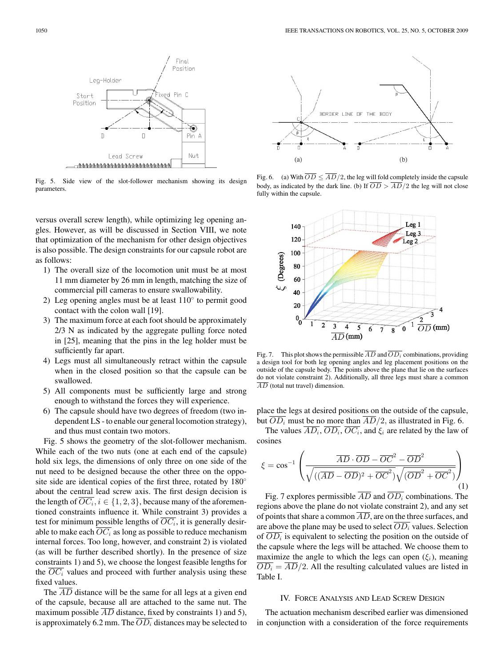

Fig. 5. Side view of the slot-follower mechanism showing its design parameters.

versus overall screw length), while optimizing leg opening angles. However, as will be discussed in Section VIII, we note that optimization of the mechanism for other design objectives is also possible. The design constraints for our capsule robot are as follows:

- 1) The overall size of the locomotion unit must be at most 11 mm diameter by 26 mm in length, matching the size of commercial pill cameras to ensure swallowability.
- 2) Leg opening angles must be at least  $110<sup>°</sup>$  to permit good contact with the colon wall [19].
- 3) The maximum force at each foot should be approximately 2/3 N as indicated by the aggregate pulling force noted in [25], meaning that the pins in the leg holder must be sufficiently far apart.
- 4) Legs must all simultaneously retract within the capsule when in the closed position so that the capsule can be swallowed.
- 5) All components must be sufficiently large and strong enough to withstand the forces they will experience.
- 6) The capsule should have two degrees of freedom (two independent LS - to enable our general locomotion strategy), and thus must contain two motors.

Fig. 5 shows the geometry of the slot-follower mechanism. While each of the two nuts (one at each end of the capsule) hold six legs, the dimensions of only three on one side of the nut need to be designed because the other three on the opposite side are identical copies of the first three, rotated by 180<sup>°</sup> about the central lead screw axis. The first design decision is the length of  $\overline{OC_i}$ ,  $i \in \{1, 2, 3\}$ , because many of the aforementioned constraints influence it. While constraint 3) provides a test for minimum possible lengths of  $OC_i$ , it is generally desirable to make each  $\overline{OC_i}$  as long as possible to reduce mechanism internal forces. Too long, however, and constraint 2) is violated (as will be further described shortly). In the presence of size constraints 1) and 5), we choose the longest feasible lengths for the  $\overline{OC_i}$  values and proceed with further analysis using these fixed values.

The  $\overline{AD}$  distance will be the same for all legs at a given end of the capsule, because all are attached to the same nut. The maximum possible  $\overline{AD}$  distance, fixed by constraints 1) and 5), is approximately 6.2 mm. The  $\overline{OD_i}$  distances may be selected to



Fig. 6. (a) With  $\overline{OD} \leq \overline{AD}/2$ , the leg will fold completely inside the capsule body, as indicated by the dark line. (b) If  $\overline{OD} > \overline{AD}/2$  the leg will not close fully within the capsule.



Fig. 7. This plot shows the permissible  $\overline{AD}$  and  $\overline{OD_i}$  combinations, providing a design tool for both leg opening angles and leg placement positions on the outside of the capsule body. The points above the plane that lie on the surfaces do not violate constraint 2). Additionally, all three legs must share a common  $\overline{AD}$  (total nut travel) dimension.

place the legs at desired positions on the outside of the capsule, but  $\overline{OD_i}$  must be no more than  $\overline{AD}/2$ , as illustrated in Fig. 6.

The values  $\overline{AD_i}$ ,  $\overline{OD_i}$ ,  $\overline{OC_i}$ , and  $\xi_i$  are related by the law of cosines

$$
\xi = \cos^{-1}\left(\frac{\overline{AD} \cdot \overline{OD} - \overline{OC}^2 - \overline{OD}^2}{\sqrt{((\overline{AD} - \overline{OD})^2 + \overline{OC}^2)}\sqrt{(\overline{OD}^2 + \overline{OC}^2)}}\right)
$$
(1)

Fig. 7 explores permissible  $\overline{AD}$  and  $\overline{OD_i}$  combinations. The regions above the plane do not violate constraint 2), and any set of points that share a common  $\overline{AD}$ , are on the three surfaces, and are above the plane may be used to select  $\overline{OD_i}$  values. Selection of  $\overline{OD_i}$  is equivalent to selecting the position on the outside of the capsule where the legs will be attached. We choose them to maximize the angle to which the legs can open  $(\xi_i)$ , meaning  $OD<sub>i</sub> = AD/2$ . All the resulting calculated values are listed in Table I.

## IV. FORCE ANALYSIS AND LEAD SCREW DESIGN

The actuation mechanism described earlier was dimensioned in conjunction with a consideration of the force requirements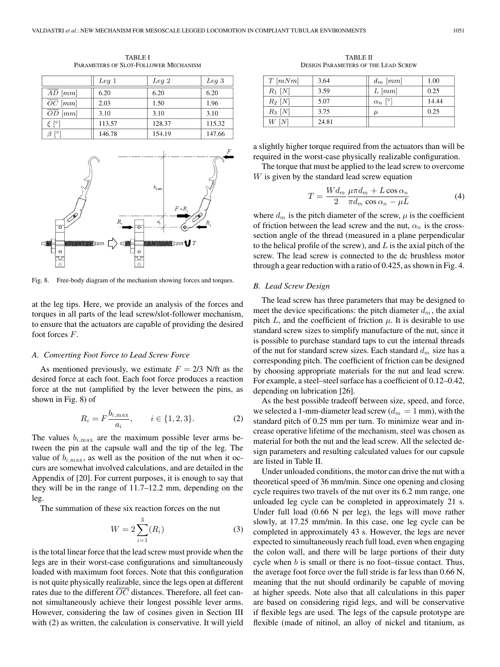TABLE I PARAMETERS OF SLOT-FOLLOWER MECHANISM

|                      | $Leg\ 1$ | Leg 2  | Leg~3  |
|----------------------|----------|--------|--------|
| $AD$ [mm]            | 6.20     | 6.20   | 6.20   |
| $\overline{OC}$ [mm] | 2.03     | 1.50   | 1.96   |
| $\overline{OD}$ [mm] | 3.10     | 3.10   | 3.10   |
| $\epsilon$ [°]       | 113.57   | 128.37 | 115.32 |
| $\beta$ [°]          | 146.78   | 154.19 | 147.66 |



Fig. 8. Free-body diagram of the mechanism showing forces and torques.

at the leg tips. Here, we provide an analysis of the forces and torques in all parts of the lead screw/slot-follower mechanism, to ensure that the actuators are capable of providing the desired foot forces F.

#### *A. Converting Foot Force to Lead Screw Force*

As mentioned previously, we estimate  $F = 2/3$  N/ft as the desired force at each foot. Each foot force produces a reaction force at the nut (amplified by the lever between the pins, as shown in Fig. 8) of

$$
R_i = F \frac{b_{i,\max}}{a_i}, \qquad i \in \{1, 2, 3\}.
$$
 (2)

The values  $b_{i,\text{max}}$  are the maximum possible lever arms between the pin at the capsule wall and the tip of the leg. The value of  $b_{i, \text{max}}$ , as well as the position of the nut when it occurs are somewhat involved calculations, and are detailed in the Appendix of [20]. For current purposes, it is enough to say that they will be in the range of 11.7–12.2 mm, depending on the leg.

The summation of these six reaction forces on the nut

$$
W = 2\sum_{i=1}^{3} (R_i)
$$
 (3)

is the total linear force that the lead screw must provide when the legs are in their worst-case configurations and simultaneously loaded with maximum foot forces. Note that this configuration is not quite physically realizable, since the legs open at different rates due to the different  $\overline{OC}$  distances. Therefore, all feet cannot simultaneously achieve their longest possible lever arms. However, considering the law of cosines given in Section III with (2) as written, the calculation is conservative. It will yield

TABLE II DESIGN PARAMETERS OF THE LEAD SCREW

| $T \left[ mNm \right]$ | 3.64  | $d_m$ [mm]              | 1.00  |
|------------------------|-------|-------------------------|-------|
| $R_1$ [N]              | 3.59  | $L \; [mm]$             | 0.25  |
| $R_2$ [N]              | 5.07  | $\alpha_n$ <sup>o</sup> | 14.44 |
| $R_3$ [N]              | 3.75  | $\mu$                   | 0.25  |
| W[N]                   | 24.81 |                         |       |

a slightly higher torque required from the actuators than will be required in the worst-case physically realizable configuration.

The torque that must be applied to the lead screw to overcome W is given by the standard lead screw equation

$$
T = \frac{Wd_m}{2} \frac{\mu \pi d_m + L \cos \alpha_n}{\pi d_m \cos \alpha_n - \mu L}
$$
 (4)

where  $d_m$  is the pitch diameter of the screw,  $\mu$  is the coefficient of friction between the lead screw and the nut,  $\alpha_n$  is the crosssection angle of the thread (measured in a plane perpendicular to the helical profile of the screw), and  $L$  is the axial pitch of the screw. The lead screw is connected to the dc brushless motor through a gear reduction with a ratio of 0.425, as shown in Fig. 4.

#### *B. Lead Screw Design*

The lead screw has three parameters that may be designed to meet the device specifications: the pitch diameter  $d_m$ , the axial pitch  $L$ , and the coefficient of friction  $\mu$ . It is desirable to use standard screw sizes to simplify manufacture of the nut, since it is possible to purchase standard taps to cut the internal threads of the nut for standard screw sizes. Each standard  $d_m$  size has a corresponding pitch. The coefficient of friction can be designed by choosing appropriate materials for the nut and lead screw. For example, a steel–steel surface has a coefficient of 0.12–0.42, depending on lubrication [26].

As the best possible tradeoff between size, speed, and force, we selected a 1-mm-diameter lead screw ( $d_m = 1$  mm), with the standard pitch of 0.25 mm per turn. To minimize wear and increase operative lifetime of the mechanism, steel was chosen as material for both the nut and the lead screw. All the selected design parameters and resulting calculated values for our capsule are listed in Table II.

Under unloaded conditions, the motor can drive the nut with a theoretical speed of 36 mm/min. Since one opening and closing cycle requires two travels of the nut over its 6.2 mm range, one unloaded leg cycle can be completed in approximately 21 s. Under full load (0.66 N per leg), the legs will move rather slowly, at 17.25 mm/min. In this case, one leg cycle can be completed in approximately 43 s. However, the legs are never expected to simultaneously reach full load, even when engaging the colon wall, and there will be large portions of their duty cycle when  $b$  is small or there is no foot–tissue contact. Thus, the average foot force over the full stride is far less than 0.66 N, meaning that the nut should ordinarily be capable of moving at higher speeds. Note also that all calculations in this paper are based on considering rigid legs, and will be conservative if flexible legs are used. The legs of the capsule prototype are flexible (made of nitinol, an alloy of nickel and titanium, as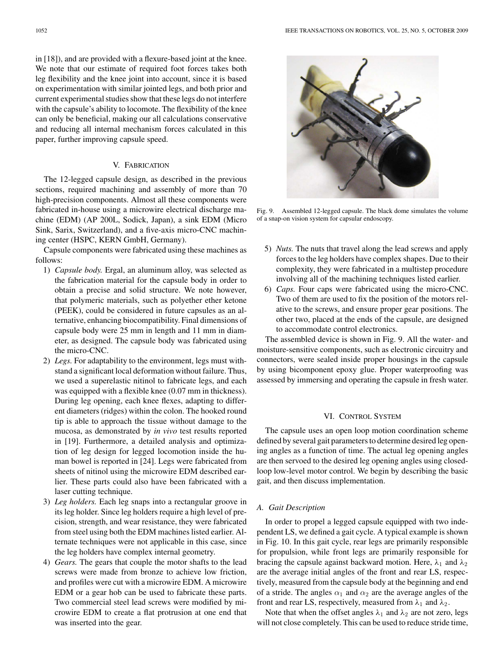in [18]), and are provided with a flexure-based joint at the knee. We note that our estimate of required foot forces takes both leg flexibility and the knee joint into account, since it is based on experimentation with similar jointed legs, and both prior and current experimental studies show that these legs do not interfere with the capsule's ability to locomote. The flexibility of the knee can only be beneficial, making our all calculations conservative and reducing all internal mechanism forces calculated in this paper, further improving capsule speed.

# V. FABRICATION

The 12-legged capsule design, as described in the previous sections, required machining and assembly of more than 70 high-precision components. Almost all these components were fabricated in-house using a microwire electrical discharge machine (EDM) (AP 200L, Sodick, Japan), a sink EDM (Micro Sink, Sarix, Switzerland), and a five-axis micro-CNC machining center (HSPC, KERN GmbH, Germany).

Capsule components were fabricated using these machines as follows:

- 1) *Capsule body.* Ergal, an aluminum alloy, was selected as the fabrication material for the capsule body in order to obtain a precise and solid structure. We note however, that polymeric materials, such as polyether ether ketone (PEEK), could be considered in future capsules as an alternative, enhancing biocompatibility. Final dimensions of capsule body were 25 mm in length and 11 mm in diameter, as designed. The capsule body was fabricated using the micro-CNC.
- 2) *Legs.* For adaptability to the environment, legs must withstand a significant local deformation without failure. Thus, we used a superelastic nitinol to fabricate legs, and each was equipped with a flexible knee (0.07 mm in thickness). During leg opening, each knee flexes, adapting to different diameters (ridges) within the colon. The hooked round tip is able to approach the tissue without damage to the mucosa, as demonstrated by *in vivo* test results reported in [19]. Furthermore, a detailed analysis and optimization of leg design for legged locomotion inside the human bowel is reported in [24]. Legs were fabricated from sheets of nitinol using the microwire EDM described earlier. These parts could also have been fabricated with a laser cutting technique.
- 3) *Leg holders.* Each leg snaps into a rectangular groove in its leg holder. Since leg holders require a high level of precision, strength, and wear resistance, they were fabricated from steel using both the EDM machines listed earlier. Alternate techniques were not applicable in this case, since the leg holders have complex internal geometry.
- 4) *Gears.* The gears that couple the motor shafts to the lead screws were made from bronze to achieve low friction, and profiles were cut with a microwire EDM. A microwire EDM or a gear hob can be used to fabricate these parts. Two commercial steel lead screws were modified by microwire EDM to create a flat protrusion at one end that was inserted into the gear.



Fig. 9. Assembled 12-legged capsule. The black dome simulates the volume of a snap-on vision system for capsular endoscopy.

- 5) *Nuts.* The nuts that travel along the lead screws and apply forces to the leg holders have complex shapes. Due to their complexity, they were fabricated in a multistep procedure involving all of the machining techniques listed earlier.
- 6) *Caps.* Four caps were fabricated using the micro-CNC. Two of them are used to fix the position of the motors relative to the screws, and ensure proper gear positions. The other two, placed at the ends of the capsule, are designed to accommodate control electronics.

The assembled device is shown in Fig. 9. All the water- and moisture-sensitive components, such as electronic circuitry and connectors, were sealed inside proper housings in the capsule by using bicomponent epoxy glue. Proper waterproofing was assessed by immersing and operating the capsule in fresh water.

# VI. CONTROL SYSTEM

The capsule uses an open loop motion coordination scheme defined by several gait parameters to determine desired leg opening angles as a function of time. The actual leg opening angles are then servoed to the desired leg opening angles using closedloop low-level motor control. We begin by describing the basic gait, and then discuss implementation.

## *A. Gait Description*

In order to propel a legged capsule equipped with two independent LS, we defined a gait cycle. A typical example is shown in Fig. 10. In this gait cycle, rear legs are primarily responsible for propulsion, while front legs are primarily responsible for bracing the capsule against backward motion. Here,  $\lambda_1$  and  $\lambda_2$ are the average initial angles of the front and rear LS, respectively, measured from the capsule body at the beginning and end of a stride. The angles  $\alpha_1$  and  $\alpha_2$  are the average angles of the front and rear LS, respectively, measured from  $\lambda_1$  and  $\lambda_2$ .

Note that when the offset angles  $\lambda_1$  and  $\lambda_2$  are not zero, legs will not close completely. This can be used to reduce stride time,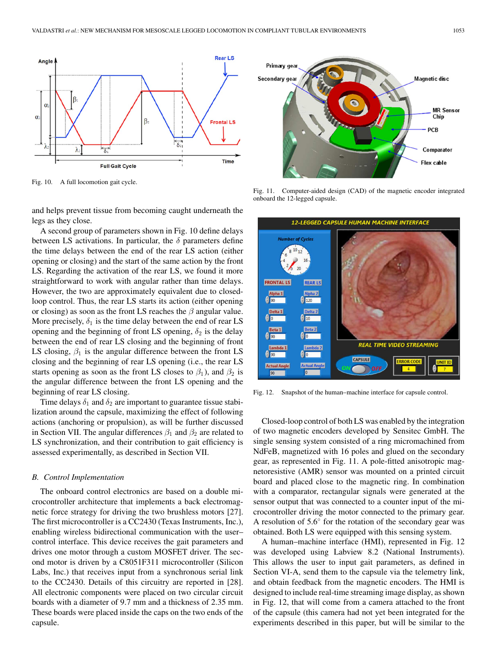

Fig. 10. A full locomotion gait cycle.

and helps prevent tissue from becoming caught underneath the legs as they close.

A second group of parameters shown in Fig. 10 define delays between LS activations. In particular, the  $\delta$  parameters define the time delays between the end of the rear LS action (either opening or closing) and the start of the same action by the front LS. Regarding the activation of the rear LS, we found it more straightforward to work with angular rather than time delays. However, the two are approximately equivalent due to closedloop control. Thus, the rear LS starts its action (either opening or closing) as soon as the front LS reaches the  $\beta$  angular value. More precisely,  $\delta_1$  is the time delay between the end of rear LS opening and the beginning of front LS opening,  $\delta_2$  is the delay between the end of rear LS closing and the beginning of front LS closing,  $\beta_1$  is the angular difference between the front LS closing and the beginning of rear LS opening (i.e., the rear LS starts opening as soon as the front LS closes to  $\beta_1$ ), and  $\beta_2$  is the angular difference between the front LS opening and the beginning of rear LS closing.

Time delays  $\delta_1$  and  $\delta_2$  are important to guarantee tissue stabilization around the capsule, maximizing the effect of following actions (anchoring or propulsion), as will be further discussed in Section VII. The angular differences  $\beta_1$  and  $\beta_2$  are related to LS synchronization, and their contribution to gait efficiency is assessed experimentally, as described in Section VII.

#### *B. Control Implementation*

The onboard control electronics are based on a double microcontroller architecture that implements a back electromagnetic force strategy for driving the two brushless motors [27]. The first microcontroller is a CC2430 (Texas Instruments, Inc.), enabling wireless bidirectional communication with the user– control interface. This device receives the gait parameters and drives one motor through a custom MOSFET driver. The second motor is driven by a C8051F311 microcontroller (Silicon Labs, Inc.) that receives input from a synchronous serial link to the CC2430. Details of this circuitry are reported in [28]. All electronic components were placed on two circular circuit boards with a diameter of 9.7 mm and a thickness of 2.35 mm. These boards were placed inside the caps on the two ends of the capsule.



Fig. 11. Computer-aided design (CAD) of the magnetic encoder integrated onboard the 12-legged capsule.



Fig. 12. Snapshot of the human–machine interface for capsule control.

Closed-loop control of both LS was enabled by the integration of two magnetic encoders developed by Sensitec GmbH. The single sensing system consisted of a ring micromachined from NdFeB, magnetized with 16 poles and glued on the secondary gear, as represented in Fig. 11. A pole-fitted anisotropic magnetoresistive (AMR) sensor was mounted on a printed circuit board and placed close to the magnetic ring. In combination with a comparator, rectangular signals were generated at the sensor output that was connected to a counter input of the microcontroller driving the motor connected to the primary gear. A resolution of  $5.6°$  for the rotation of the secondary gear was obtained. Both LS were equipped with this sensing system.

A human–machine interface (HMI), represented in Fig. 12 was developed using Labview 8.2 (National Instruments). This allows the user to input gait parameters, as defined in Section VI-A, send them to the capsule via the telemetry link, and obtain feedback from the magnetic encoders. The HMI is designed to include real-time streaming image display, as shown in Fig. 12, that will come from a camera attached to the front of the capsule (this camera had not yet been integrated for the experiments described in this paper, but will be similar to the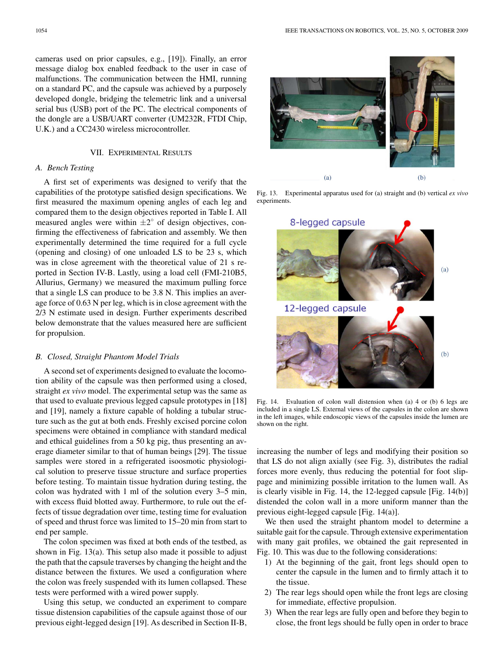cameras used on prior capsules, e.g., [19]). Finally, an error message dialog box enabled feedback to the user in case of malfunctions. The communication between the HMI, running on a standard PC, and the capsule was achieved by a purposely developed dongle, bridging the telemetric link and a universal serial bus (USB) port of the PC. The electrical components of the dongle are a USB/UART converter (UM232R, FTDI Chip, U.K.) and a CC2430 wireless microcontroller.

## VII. EXPERIMENTAL RESULTS

# *A. Bench Testing*

A first set of experiments was designed to verify that the capabilities of the prototype satisfied design specifications. We first measured the maximum opening angles of each leg and compared them to the design objectives reported in Table I. All measured angles were within  $\pm 2°$  of design objectives, confirming the effectiveness of fabrication and assembly. We then experimentally determined the time required for a full cycle (opening and closing) of one unloaded LS to be 23 s, which was in close agreement with the theoretical value of 21 s reported in Section IV-B. Lastly, using a load cell (FMI-210B5, Allurius, Germany) we measured the maximum pulling force that a single LS can produce to be 3.8 N. This implies an average force of 0.63 N per leg, which is in close agreement with the 2/3 N estimate used in design. Further experiments described below demonstrate that the values measured here are sufficient for propulsion.

# *B. Closed, Straight Phantom Model Trials*

A second set of experiments designed to evaluate the locomotion ability of the capsule was then performed using a closed, straight *ex vivo* model. The experimental setup was the same as that used to evaluate previous legged capsule prototypes in [18] and [19], namely a fixture capable of holding a tubular structure such as the gut at both ends. Freshly excised porcine colon specimens were obtained in compliance with standard medical and ethical guidelines from a 50 kg pig, thus presenting an average diameter similar to that of human beings [29]. The tissue samples were stored in a refrigerated isoosmotic physiological solution to preserve tissue structure and surface properties before testing. To maintain tissue hydration during testing, the colon was hydrated with 1 ml of the solution every 3–5 min, with excess fluid blotted away. Furthermore, to rule out the effects of tissue degradation over time, testing time for evaluation of speed and thrust force was limited to 15–20 min from start to end per sample.

The colon specimen was fixed at both ends of the testbed, as shown in Fig. 13(a). This setup also made it possible to adjust the path that the capsule traverses by changing the height and the distance between the fixtures. We used a configuration where the colon was freely suspended with its lumen collapsed. These tests were performed with a wired power supply.

Using this setup, we conducted an experiment to compare tissue distension capabilities of the capsule against those of our previous eight-legged design [19]. As described in Section II-B,



Fig. 13. Experimental apparatus used for (a) straight and (b) vertical *ex vivo* experiments.



Fig. 14. Evaluation of colon wall distension when (a) 4 or (b) 6 legs are included in a single LS. External views of the capsules in the colon are shown in the left images, while endoscopic views of the capsules inside the lumen are shown on the right.

increasing the number of legs and modifying their position so that LS do not align axially (see Fig. 3), distributes the radial forces more evenly, thus reducing the potential for foot slippage and minimizing possible irritation to the lumen wall. As is clearly visible in Fig. 14, the 12-legged capsule [Fig. 14(b)] distended the colon wall in a more uniform manner than the previous eight-legged capsule [Fig. 14(a)].

We then used the straight phantom model to determine a suitable gait for the capsule. Through extensive experimentation with many gait profiles, we obtained the gait represented in Fig. 10. This was due to the following considerations:

- 1) At the beginning of the gait, front legs should open to center the capsule in the lumen and to firmly attach it to the tissue.
- 2) The rear legs should open while the front legs are closing for immediate, effective propulsion.
- 3) When the rear legs are fully open and before they begin to close, the front legs should be fully open in order to brace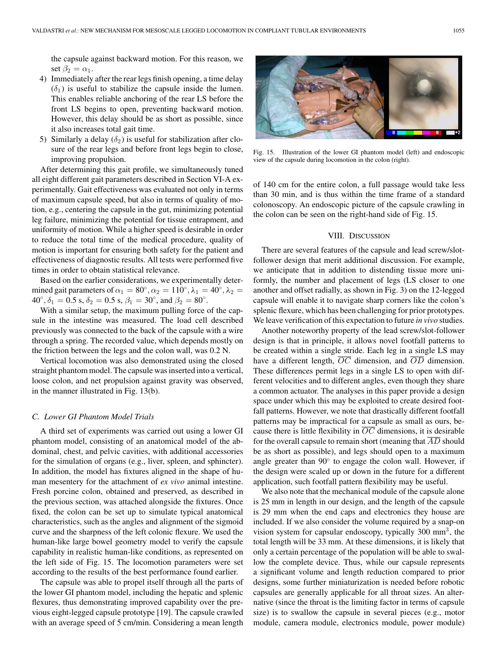the capsule against backward motion. For this reason, we set  $\beta_2 = \alpha_1$ .

- 4) Immediately after the rear legs finish opening, a time delay  $(\delta_1)$  is useful to stabilize the capsule inside the lumen. This enables reliable anchoring of the rear LS before the front LS begins to open, preventing backward motion. However, this delay should be as short as possible, since it also increases total gait time.
- 5) Similarly a delay  $(\delta_2)$  is useful for stabilization after closure of the rear legs and before front legs begin to close, improving propulsion.

After determining this gait profile, we simultaneously tuned all eight different gait parameters described in Section VI-A experimentally. Gait effectiveness was evaluated not only in terms of maximum capsule speed, but also in terms of quality of motion, e.g., centering the capsule in the gut, minimizing potential leg failure, minimizing the potential for tissue entrapment, and uniformity of motion. While a higher speed is desirable in order to reduce the total time of the medical procedure, quality of motion is important for ensuring both safety for the patient and effectiveness of diagnostic results. All tests were performed five times in order to obtain statistical relevance.

Based on the earlier considerations, we experimentally determined gait parameters of  $\alpha_1 = 80^\circ$ ,  $\alpha_2 = 110^\circ$ ,  $\lambda_1 = 40^\circ$ ,  $\lambda_2 =$  $40^{\circ}, \delta_1 = 0.5 \text{ s}, \delta_2 = 0.5 \text{ s}, \beta_1 = 30^{\circ}, \text{and } \beta_2 = 80^{\circ}.$ 

With a similar setup, the maximum pulling force of the capsule in the intestine was measured. The load cell described previously was connected to the back of the capsule with a wire through a spring. The recorded value, which depends mostly on the friction between the legs and the colon wall, was 0.2 N.

Vertical locomotion was also demonstrated using the closed straight phantom model. The capsule was inserted into a vertical, loose colon, and net propulsion against gravity was observed, in the manner illustrated in Fig. 13(b).

# *C. Lower GI Phantom Model Trials*

A third set of experiments was carried out using a lower GI phantom model, consisting of an anatomical model of the abdominal, chest, and pelvic cavities, with additional accessories for the simulation of organs (e.g., liver, spleen, and sphincter). In addition, the model has fixtures aligned in the shape of human mesentery for the attachment of *ex vivo* animal intestine. Fresh porcine colon, obtained and preserved, as described in the previous section, was attached alongside the fixtures. Once fixed, the colon can be set up to simulate typical anatomical characteristics, such as the angles and alignment of the sigmoid curve and the sharpness of the left colonic flexure. We used the human-like large bowel geometry model to verify the capsule capability in realistic human-like conditions, as represented on the left side of Fig. 15. The locomotion parameters were set according to the results of the best performance found earlier.

The capsule was able to propel itself through all the parts of the lower GI phantom model, including the hepatic and splenic flexures, thus demonstrating improved capability over the previous eight-legged capsule prototype [19]. The capsule crawled with an average speed of 5 cm/min. Considering a mean length



Fig. 15. Illustration of the lower GI phantom model (left) and endoscopic view of the capsule during locomotion in the colon (right).

of 140 cm for the entire colon, a full passage would take less than 30 min, and is thus within the time frame of a standard colonoscopy. An endoscopic picture of the capsule crawling in the colon can be seen on the right-hand side of Fig. 15.

# VIII. DISCUSSION

There are several features of the capsule and lead screw/slotfollower design that merit additional discussion. For example, we anticipate that in addition to distending tissue more uniformly, the number and placement of legs (LS closer to one another and offset radially, as shown in Fig. 3) on the 12-legged capsule will enable it to navigate sharp corners like the colon's splenic flexure, which has been challenging for prior prototypes. We leave verification of this expectation to future *in vivo* studies.

Another noteworthy property of the lead screw/slot-follower design is that in principle, it allows novel footfall patterns to be created within a single stride. Each leg in a single LS may have a different length,  $\overline{OC}$  dimension, and  $\overline{OD}$  dimension. These differences permit legs in a single LS to open with different velocities and to different angles, even though they share a common actuator. The analyses in this paper provide a design space under which this may be exploited to create desired footfall patterns. However, we note that drastically different footfall patterns may be impractical for a capsule as small as ours, because there is little flexibility in  $\overline{OC}$  dimensions, it is desirable for the overall capsule to remain short (meaning that  $\overline{AD}$  should be as short as possible), and legs should open to a maximum angle greater than  $90^\circ$  to engage the colon wall. However, if the design were scaled up or down in the future for a different application, such footfall pattern flexibility may be useful.

We also note that the mechanical module of the capsule alone is 25 mm in length in our design, and the length of the capsule is 29 mm when the end caps and electronics they house are included. If we also consider the volume required by a snap-on vision system for capsular endoscopy, typically  $300 \text{ mm}^3$ , the total length will be 33 mm. At these dimensions, it is likely that only a certain percentage of the population will be able to swallow the complete device. Thus, while our capsule represents a significant volume and length reduction compared to prior designs, some further miniaturization is needed before robotic capsules are generally applicable for all throat sizes. An alternative (since the throat is the limiting factor in terms of capsule size) is to swallow the capsule in several pieces (e.g., motor module, camera module, electronics module, power module)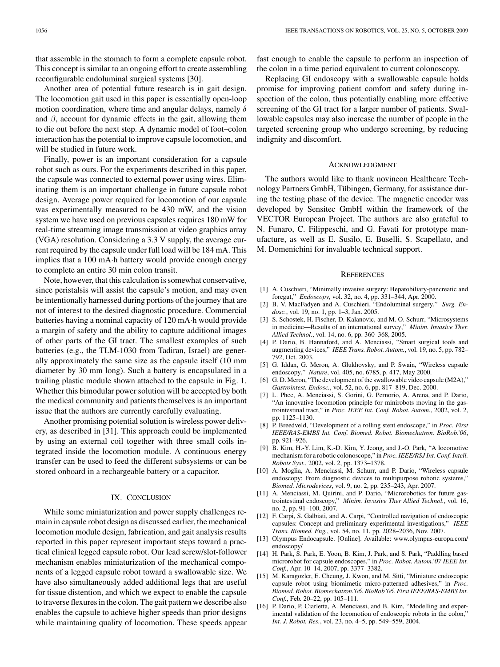that assemble in the stomach to form a complete capsule robot. This concept is similar to an ongoing effort to create assembling reconfigurable endoluminal surgical systems [30].

Another area of potential future research is in gait design. The locomotion gait used in this paper is essentially open-loop motion coordination, where time and angular delays, namely  $\delta$ and  $\beta$ , account for dynamic effects in the gait, allowing them to die out before the next step. A dynamic model of foot–colon interaction has the potential to improve capsule locomotion, and will be studied in future work.

Finally, power is an important consideration for a capsule robot such as ours. For the experiments described in this paper, the capsule was connected to external power using wires. Eliminating them is an important challenge in future capsule robot design. Average power required for locomotion of our capsule was experimentally measured to be 430 mW, and the vision system we have used on previous capsules requires 180 mW for real-time streaming image transmission at video graphics array (VGA) resolution. Considering a 3.3 V supply, the average current required by the capsule under full load will be 184 mA. This implies that a 100 mA·h battery would provide enough energy to complete an entire 30 min colon transit.

Note, however, that this calculation is somewhat conservative, since peristalsis will assist the capsule's motion, and may even be intentionally harnessed during portions of the journey that are not of interest to the desired diagnostic procedure. Commercial batteries having a nominal capacity of 120 mA·h would provide a margin of safety and the ability to capture additional images of other parts of the GI tract. The smallest examples of such batteries (e.g., the TLM-1030 from Tadiran, Israel) are generally approximately the same size as the capsule itself (10 mm diameter by 30 mm long). Such a battery is encapsulated in a trailing plastic module shown attached to the capsule in Fig. 1. Whether this bimodular power solution will be accepted by both the medical community and patients themselves is an important issue that the authors are currently carefully evaluating.

Another promising potential solution is wireless power delivery, as described in [31]. This approach could be implemented by using an external coil together with three small coils integrated inside the locomotion module. A continuous energy transfer can be used to feed the different subsystems or can be stored onboard in a rechargeable battery or a capacitor.

#### IX. CONCLUSION

While some miniaturization and power supply challenges remain in capsule robot design as discussed earlier, the mechanical locomotion module design, fabrication, and gait analysis results reported in this paper represent important steps toward a practical clinical legged capsule robot. Our lead screw/slot-follower mechanism enables miniaturization of the mechanical components of a legged capsule robot toward a swallowable size. We have also simultaneously added additional legs that are useful for tissue distention, and which we expect to enable the capsule to traverse flexures in the colon. The gait pattern we describe also enables the capsule to achieve higher speeds than prior designs while maintaining quality of locomotion. These speeds appear fast enough to enable the capsule to perform an inspection of the colon in a time period equivalent to current colonoscopy.

Replacing GI endoscopy with a swallowable capsule holds promise for improving patient comfort and safety during inspection of the colon, thus potentially enabling more effective screening of the GI tract for a larger number of patients. Swallowable capsules may also increase the number of people in the targeted screening group who undergo screening, by reducing indignity and discomfort.

#### ACKNOWLEDGMENT

The authors would like to thank novineon Healthcare Technology Partners GmbH, Tübingen, Germany, for assistance during the testing phase of the device. The magnetic encoder was developed by Sensitec GmbH within the framework of the VECTOR European Project. The authors are also grateful to N. Funaro, C. Filippeschi, and G. Favati for prototype manufacture, as well as E. Susilo, E. Buselli, S. Scapellato, and M. Domenichini for invaluable technical support.

#### **REFERENCES**

- [1] A. Cuschieri, "Minimally invasive surgery: Hepatobiliary-pancreatic and foregut," *Endoscopy*, vol. 32, no. 4, pp. 331–344, Apr. 2000.
- [2] B. V. MacFadyen and A. Cuschieri, "Endoluminal surgery," *Surg. Endosc.*, vol. 19, no. 1, pp. 1–3, Jan. 2005.
- [3] S. Schostek, H. Fischer, D. Kalanovic, and M. O. Schurr, "Microsystems in medicine—Results of an international survey," *Minim. Invasive Ther. Allied Technol.*, vol. 14, no. 6, pp. 360–368, 2005.
- [4] P. Dario, B. Hannaford, and A. Menciassi, "Smart surgical tools and augmenting devices," *IEEE Trans. Robot. Autom.*, vol. 19, no. 5, pp. 782– 792, Oct. 2003.
- [5] G. Iddan, G. Meron, A. Glukhovsky, and P. Swain, "Wireless capsule endoscopy," *Nature*, vol. 405, no. 6785, p. 417, May 2000.
- [6] G. D. Meron, "The development of the swallowable video capsule (M2A)," *Gastrointest. Endosc.*, vol. 52, no. 6, pp. 817–819, Dec. 2000.
- [7] L. Phee, A. Menciassi, S. Gorini, G. Pernorio, A. Arena, and P. Dario, "An innovative locomotion principle for minirobots moving in the gastrointestinal tract," in *Proc. IEEE Int. Conf. Robot. Autom.*, 2002, vol. 2, pp. 1125–1130.
- [8] P. Breedveld, "Development of a rolling stent endoscope," in *Proc. First IEEE/RAS-EMBS Int. Conf. Biomed. Robot. Biomechatron. BioRob.'06*, pp. 921–926.
- [9] B. Kim, H.-Y. Lim, K.-D. Kim, Y. Jeong, and J.-O. Park, "A locomotive mechanism for a robotic colonoscope," in *Proc. IEEE/RSJ Int. Conf. Intell. Robots Syst.*, 2002, vol. 2, pp. 1373–1378.
- [10] A. Moglia, A. Menciassi, M. Schurr, and P. Dario, "Wireless capsule endoscopy: From diagnostic devices to multipurpose robotic systems,' *Biomed. Microdevices*, vol. 9, no. 2, pp. 235–243, Apr. 2007.
- [11] A. Menciassi, M. Quirini, and P. Dario, "Microrobotics for future gastrointestinal endoscopy," *Minim. Invasive Ther Allied Technol.*, vol. 16, no. 2, pp. 91–100, 2007.
- [12] F. Carpi, S. Galbiati, and A. Carpi, "Controlled navigation of endoscopic capsules: Concept and preliminary experimental investigations," *IEEE Trans. Biomed. Eng.*, vol. 54, no. 11, pp. 2028–2036, Nov. 2007.
- [13] Olympus Endocapsule. [Online]. Available: www.olympus-europa.com/ endoscopy/
- [14] H. Park, S. Park, E. Yoon, B. Kim, J. Park, and S. Park, "Paddling based microrobot for capsule endoscopes," in *Proc. Robot. Autom.'07 IEEE Int. Conf.*, Apr. 10–14, 2007, pp. 3377–3382.
- [15] M. Karagozler, E. Cheung, J. Kwon, and M. Sitti, "Miniature endoscopic capsule robot using biomimetic micro-patterned adhesives," in *Proc. Biomed. Robot. Biomechatron.'06. BioRob'06. First IEEE/RAS-EMBS Int. Conf.*, Feb. 20–22, pp. 105–111.
- [16] P. Dario, P. Ciarletta, A. Menciassi, and B. Kim, "Modelling and experimental validation of the locomotion of endoscopic robots in the colon," *Int. J. Robot. Res.*, vol. 23, no. 4–5, pp. 549–559, 2004.